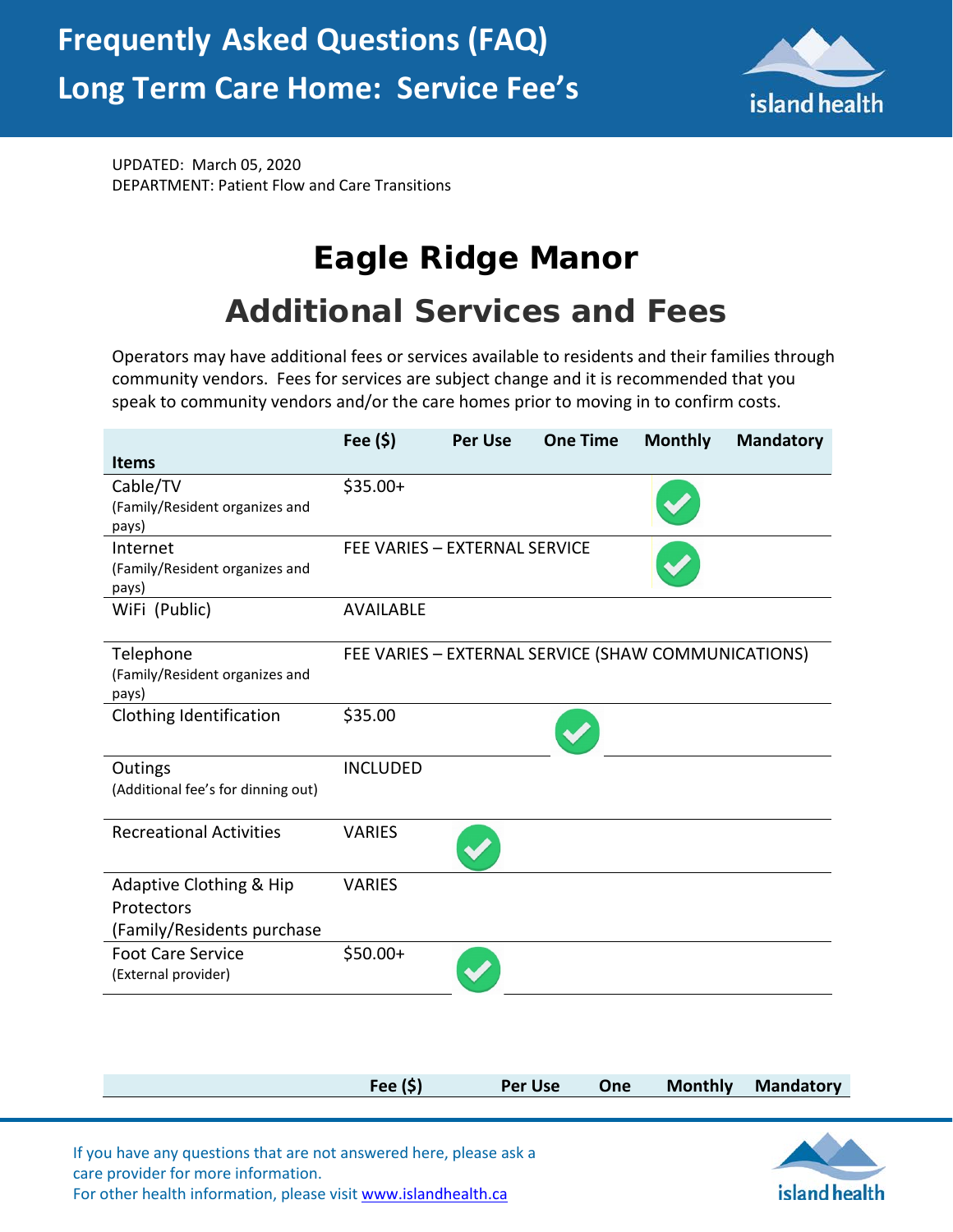

UPDATED: March 05, 2020 DEPARTMENT: Patient Flow and Care Transitions

## **Eagle Ridge Manor**

## **Additional Services and Fees**

Operators may have additional fees or services available to residents and their families through community vendors. Fees for services are subject change and it is recommended that you speak to community vendors and/or the care homes prior to moving in to confirm costs.

|                                         | Fee $(\$)$                    | <b>Per Use</b> | <b>One Time</b>                                     | <b>Monthly</b> | <b>Mandatory</b> |
|-----------------------------------------|-------------------------------|----------------|-----------------------------------------------------|----------------|------------------|
| <b>Items</b>                            |                               |                |                                                     |                |                  |
| Cable/TV                                | $$35.00+$                     |                |                                                     |                |                  |
| (Family/Resident organizes and          |                               |                |                                                     |                |                  |
| pays)                                   |                               |                |                                                     |                |                  |
| Internet                                | FEE VARIES - EXTERNAL SERVICE |                |                                                     |                |                  |
| (Family/Resident organizes and<br>pays) |                               |                |                                                     |                |                  |
| WiFi (Public)                           | <b>AVAILABLE</b>              |                |                                                     |                |                  |
|                                         |                               |                |                                                     |                |                  |
| Telephone                               |                               |                | FEE VARIES - EXTERNAL SERVICE (SHAW COMMUNICATIONS) |                |                  |
| (Family/Resident organizes and          |                               |                |                                                     |                |                  |
| pays)                                   |                               |                |                                                     |                |                  |
| Clothing Identification                 | \$35.00                       |                |                                                     |                |                  |
|                                         |                               |                |                                                     |                |                  |
| Outings                                 | <b>INCLUDED</b>               |                |                                                     |                |                  |
| (Additional fee's for dinning out)      |                               |                |                                                     |                |                  |
|                                         |                               |                |                                                     |                |                  |
| <b>Recreational Activities</b>          | <b>VARIES</b>                 |                |                                                     |                |                  |
|                                         |                               |                |                                                     |                |                  |
| Adaptive Clothing & Hip                 | <b>VARIES</b>                 |                |                                                     |                |                  |
| Protectors                              |                               |                |                                                     |                |                  |
| (Family/Residents purchase              |                               |                |                                                     |                |                  |
| <b>Foot Care Service</b>                | $$50.00+$                     |                |                                                     |                |                  |
| (External provider)                     |                               |                |                                                     |                |                  |
|                                         |                               |                |                                                     |                |                  |

| Per Use One Monthly Mandatory<br>Fee $(S)$ |  |  |  |
|--------------------------------------------|--|--|--|
|                                            |  |  |  |

island health

If you have any questions that are not answered here, please ask a care provider for more information. For other health information, please visit [www.islandhealth.ca](http://www.islandhealth.ca/)